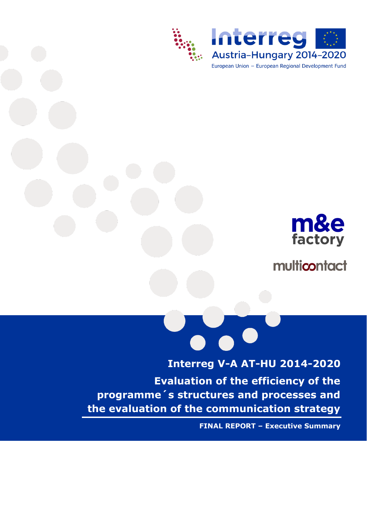



multicontact

**Interreg V-A AT-HU 2014-2020 Evaluation of the efficiency of the programme´s structures and processes and the evaluation of the communication strategy**

**FINAL REPORT – Executive Summary**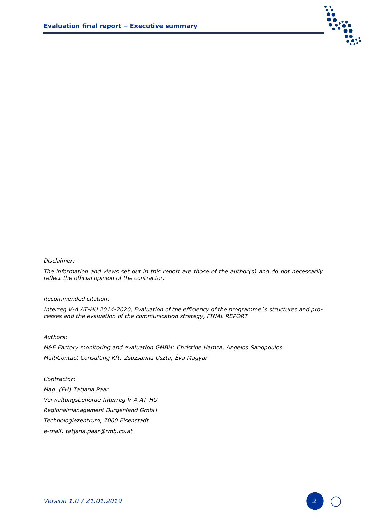

# *Disclaimer:*

*The information and views set out in this report are those of the author(s) and do not necessarily reflect the official opinion of the contractor.* 

### *Recommended citation:*

*Interreg V-A AT-HU 2014-2020, Evaluation of the efficiency of the programme´s structures and processes and the evaluation of the communication strategy, FINAL REPORT*

#### *Authors:*

*M&E Factory monitoring and evaluation GMBH: Christine Hamza, Angelos Sanopoulos MultiContact Consulting Kft: Zsuzsanna Uszta, Éva Magyar*

#### *Contractor:*

*Mag. (FH) Tatjana Paar Verwaltungsbehörde Interreg V-A AT-HU Regionalmanagement Burgenland GmbH Technologiezentrum, 7000 Eisenstadt e-mail: tatjana.paar@rmb.co.at*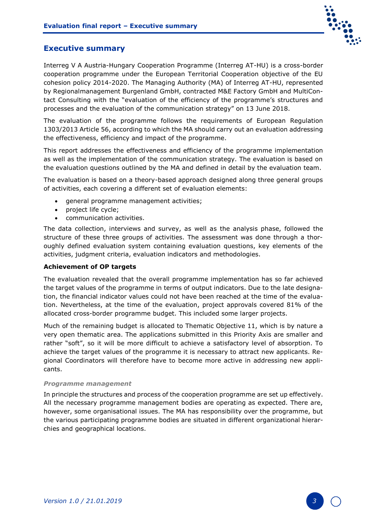

# **Executive summary**

Interreg V A Austria-Hungary Cooperation Programme (Interreg AT-HU) is a cross-border cooperation programme under the European Territorial Cooperation objective of the EU cohesion policy 2014-2020. The Managing Authority (MA) of Interreg AT-HU, represented by Regionalmanagement Burgenland GmbH, contracted M&E Factory GmbH and MultiContact Consulting with the "evaluation of the efficiency of the programme's structures and processes and the evaluation of the communication strategy" on 13 June 2018.

The evaluation of the programme follows the requirements of European Regulation 1303/2013 Article 56, according to which the MA should carry out an evaluation addressing the effectiveness, efficiency and impact of the programme.

This report addresses the effectiveness and efficiency of the programme implementation as well as the implementation of the communication strategy. The evaluation is based on the evaluation questions outlined by the MA and defined in detail by the evaluation team.

The evaluation is based on a theory-based approach designed along three general groups of activities, each covering a different set of evaluation elements:

- general programme management activities;
- project life cycle;
- communication activities.

The data collection, interviews and survey, as well as the analysis phase, followed the structure of these three groups of activities. The assessment was done through a thoroughly defined evaluation system containing evaluation questions, key elements of the activities, judgment criteria, evaluation indicators and methodologies.

# **Achievement of OP targets**

The evaluation revealed that the overall programme implementation has so far achieved the target values of the programme in terms of output indicators. Due to the late designation, the financial indicator values could not have been reached at the time of the evaluation. Nevertheless, at the time of the evaluation, project approvals covered 81% of the allocated cross-border programme budget. This included some larger projects.

Much of the remaining budget is allocated to Thematic Objective 11, which is by nature a very open thematic area. The applications submitted in this Priority Axis are smaller and rather "soft", so it will be more difficult to achieve a satisfactory level of absorption. To achieve the target values of the programme it is necessary to attract new applicants. Regional Coordinators will therefore have to become more active in addressing new applicants.

## *Programme management*

In principle the structures and process of the cooperation programme are set up effectively. All the necessary programme management bodies are operating as expected. There are, however, some organisational issues. The MA has responsibility over the programme, but the various participating programme bodies are situated in different organizational hierarchies and geographical locations.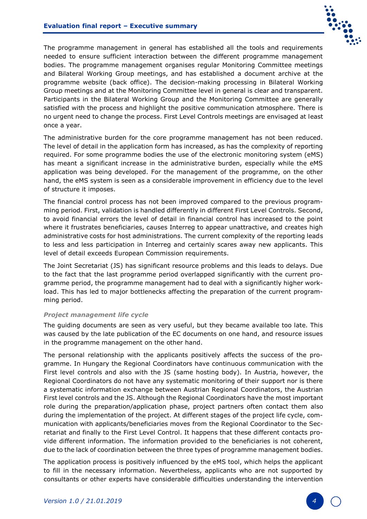

The programme management in general has established all the tools and requirements needed to ensure sufficient interaction between the different programme management bodies. The programme management organises regular Monitoring Committee meetings and Bilateral Working Group meetings, and has established a document archive at the programme website (back office). The decision-making processing in Bilateral Working Group meetings and at the Monitoring Committee level in general is clear and transparent. Participants in the Bilateral Working Group and the Monitoring Committee are generally satisfied with the process and highlight the positive communication atmosphere. There is no urgent need to change the process. First Level Controls meetings are envisaged at least once a year.

The administrative burden for the core programme management has not been reduced. The level of detail in the application form has increased, as has the complexity of reporting required. For some programme bodies the use of the electronic monitoring system (eMS) has meant a significant increase in the administrative burden, especially while the eMS application was being developed. For the management of the programme, on the other hand, the eMS system is seen as a considerable improvement in efficiency due to the level of structure it imposes.

The financial control process has not been improved compared to the previous programming period. First, validation is handled differently in different First Level Controls. Second, to avoid financial errors the level of detail in financial control has increased to the point where it frustrates beneficiaries, causes Interreg to appear unattractive, and creates high administrative costs for host administrations. The current complexity of the reporting leads to less and less participation in Interreg and certainly scares away new applicants. This level of detail exceeds European Commission requirements.

The Joint Secretariat (JS) has significant resource problems and this leads to delays. Due to the fact that the last programme period overlapped significantly with the current programme period, the programme management had to deal with a significantly higher workload. This has led to major bottlenecks affecting the preparation of the current programming period.

## *Project management life cycle*

The guiding documents are seen as very useful, but they became available too late. This was caused by the late publication of the EC documents on one hand, and resource issues in the programme management on the other hand.

The personal relationship with the applicants positively affects the success of the programme. In Hungary the Regional Coordinators have continuous communication with the First level controls and also with the JS (same hosting body). In Austria, however, the Regional Coordinators do not have any systematic monitoring of their support nor is there a systematic information exchange between Austrian Regional Coordinators, the Austrian First level controls and the JS. Although the Regional Coordinators have the most important role during the preparation/application phase, project partners often contact them also during the implementation of the project. At different stages of the project life cycle, communication with applicants/beneficiaries moves from the Regional Coordinator to the Secretariat and finally to the First Level Control. It happens that these different contacts provide different information. The information provided to the beneficiaries is not coherent, due to the lack of coordination between the three types of programme management bodies.

The application process is positively influenced by the eMS tool, which helps the applicant to fill in the necessary information. Nevertheless, applicants who are not supported by consultants or other experts have considerable difficulties understanding the intervention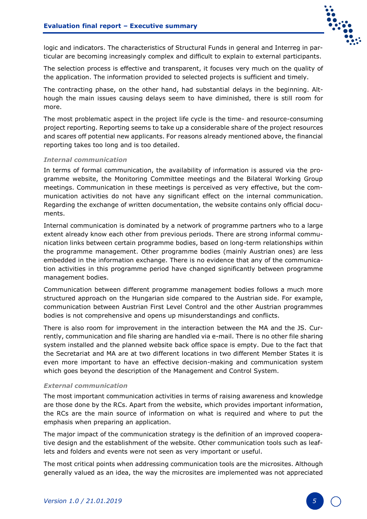

logic and indicators. The characteristics of Structural Funds in general and Interreg in particular are becoming increasingly complex and difficult to explain to external participants.

The selection process is effective and transparent, it focuses very much on the quality of the application. The information provided to selected projects is sufficient and timely.

The contracting phase, on the other hand, had substantial delays in the beginning. Although the main issues causing delays seem to have diminished, there is still room for more.

The most problematic aspect in the project life cycle is the time- and resource-consuming project reporting. Reporting seems to take up a considerable share of the project resources and scares off potential new applicants. For reasons already mentioned above, the financial reporting takes too long and is too detailed.

## *Internal communication*

In terms of formal communication, the availability of information is assured via the programme website, the Monitoring Committee meetings and the Bilateral Working Group meetings. Communication in these meetings is perceived as very effective, but the communication activities do not have any significant effect on the internal communication. Regarding the exchange of written documentation, the website contains only official documents.

Internal communication is dominated by a network of programme partners who to a large extent already know each other from previous periods. There are strong informal communication links between certain programme bodies, based on long-term relationships within the programme management. Other programme bodies (mainly Austrian ones) are less embedded in the information exchange. There is no evidence that any of the communication activities in this programme period have changed significantly between programme management bodies.

Communication between different programme management bodies follows a much more structured approach on the Hungarian side compared to the Austrian side. For example, communication between Austrian First Level Control and the other Austrian programmes bodies is not comprehensive and opens up misunderstandings and conflicts.

There is also room for improvement in the interaction between the MA and the JS. Currently, communication and file sharing are handled via e-mail. There is no other file sharing system installed and the planned website back office space is empty. Due to the fact that the Secretariat and MA are at two different locations in two different Member States it is even more important to have an effective decision-making and communication system which goes beyond the description of the Management and Control System.

### *External communication*

The most important communication activities in terms of raising awareness and knowledge are those done by the RCs. Apart from the website, which provides important information, the RCs are the main source of information on what is required and where to put the emphasis when preparing an application.

The major impact of the communication strategy is the definition of an improved cooperative design and the establishment of the website. Other communication tools such as leaflets and folders and events were not seen as very important or useful.

The most critical points when addressing communication tools are the microsites. Although generally valued as an idea, the way the microsites are implemented was not appreciated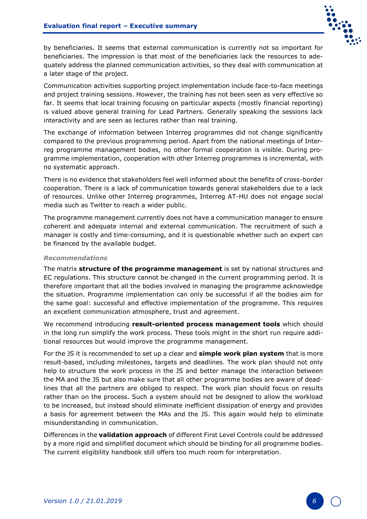

by beneficiaries. It seems that external communication is currently not so important for beneficiaries. The impression is that most of the beneficiaries lack the resources to adequately address the planned communication activities, so they deal with communication at a later stage of the project.

Communication activities supporting project implementation include face-to-face meetings and project training sessions. However, the training has not been seen as very effective so far. It seems that local training focusing on particular aspects (mostly financial reporting) is valued above general training for Lead Partners. Generally speaking the sessions lack interactivity and are seen as lectures rather than real training.

The exchange of information between Interreg programmes did not change significantly compared to the previous programming period. Apart from the national meetings of Interreg programme management bodies, no other formal cooperation is visible. During programme implementation, cooperation with other Interreg programmes is incremental, with no systematic approach.

There is no evidence that stakeholders feel well informed about the benefits of cross-border cooperation. There is a lack of communication towards general stakeholders due to a lack of resources. Unlike other Interreg programmes, Interreg AT-HU does not engage social media such as Twitter to reach a wider public.

The programme management currently does not have a communication manager to ensure coherent and adequate internal and external communication. The recruitment of such a manager is costly and time-consuming, and it is questionable whether such an expert can be financed by the available budget.

# *Recommendations*

The matrix **structure of the programme management** is set by national structures and EC regulations. This structure cannot be changed in the current programming period. It is therefore important that all the bodies involved in managing the programme acknowledge the situation. Programme implementation can only be successful if all the bodies aim for the same goal: successful and effective implementation of the programme. This requires an excellent communication atmosphere, trust and agreement.

We recommend introducing **result-oriented process management tools** which should in the long run simplify the work process. These tools might in the short run require additional resources but would improve the programme management.

For the JS it is recommended to set up a clear and **simple work plan system** that is more result-based, including milestones, targets and deadlines. The work plan should not only help to structure the work process in the JS and better manage the interaction between the MA and the JS but also make sure that all other programme bodies are aware of deadlines that all the partners are obliged to respect. The work plan should focus on results rather than on the process. Such a system should not be designed to allow the workload to be increased, but instead should eliminate inefficient dissipation of energy and provides a basis for agreement between the MAs and the JS. This again would help to eliminate misunderstanding in communication.

Differences in the **validation approach** of different First Level Controls could be addressed by a more rigid and simplified document which should be binding for all programme bodies. The current eligibility handbook still offers too much room for interpretation.